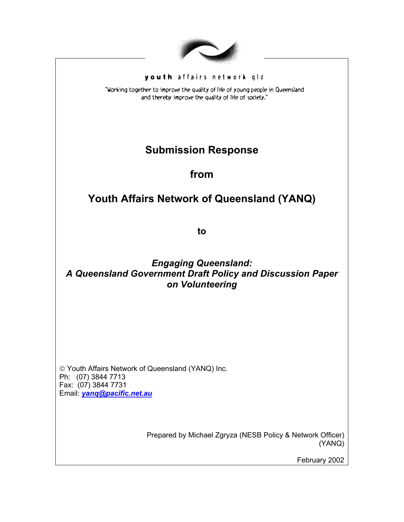

#### youth affairs network gld

"Working together to improve the quality of life of young people in Queensland and thereby improve the quality of life of society."

# **Submission Response**

**from** 

# **Youth Affairs Network of Queensland (YANQ)**

**to** 

## *Engaging Queensland: A Queensland Government Draft Policy and Discussion Paper on Volunteering*

 Youth Affairs Network of Queensland (YANQ) Inc. Ph: (07) 3844 7713 Fax: (07) 3844 7731 Email: *[yanq@pacific.net.au](mailto:yanq@pacific.net.au)*

> Prepared by Michael Zgryza (NESB Policy & Network Officer) (YANQ)

> > February 2002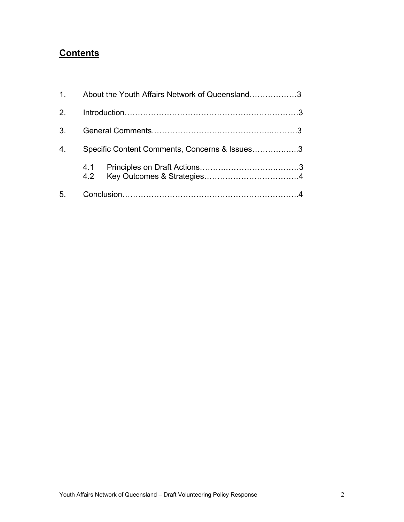# **Contents**

| 1 <sup>1</sup>   | About the Youth Affairs Network of Queensland3 |  |
|------------------|------------------------------------------------|--|
| 2 <sub>1</sub>   |                                                |  |
| 3 <sub>l</sub>   |                                                |  |
| $\overline{4}$ . | Specific Content Comments, Concerns & Issues3  |  |
|                  |                                                |  |
| 5 <sub>1</sub>   |                                                |  |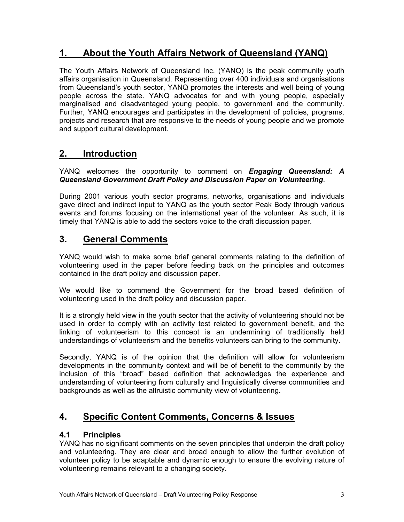## **1. About the Youth Affairs Network of Queensland (YANQ)**

The Youth Affairs Network of Queensland Inc. (YANQ) is the peak community youth affairs organisation in Queensland. Representing over 400 individuals and organisations from Queensland's youth sector, YANQ promotes the interests and well being of young people across the state. YANQ advocates for and with young people, especially marginalised and disadvantaged young people, to government and the community. Further, YANQ encourages and participates in the development of policies, programs, projects and research that are responsive to the needs of young people and we promote and support cultural development.

## **2. Introduction**

#### YANQ welcomes the opportunity to comment on *Engaging Queensland: A Queensland Government Draft Policy and Discussion Paper on Volunteering*.

During 2001 various youth sector programs, networks, organisations and individuals gave direct and indirect input to YANQ as the youth sector Peak Body through various events and forums focusing on the international year of the volunteer. As such, it is timely that YANQ is able to add the sectors voice to the draft discussion paper.

## **3. General Comments**

YANQ would wish to make some brief general comments relating to the definition of volunteering used in the paper before feeding back on the principles and outcomes contained in the draft policy and discussion paper.

We would like to commend the Government for the broad based definition of volunteering used in the draft policy and discussion paper.

It is a strongly held view in the youth sector that the activity of volunteering should not be used in order to comply with an activity test related to government benefit, and the linking of volunteerism to this concept is an undermining of traditionally held understandings of volunteerism and the benefits volunteers can bring to the community.

Secondly, YANQ is of the opinion that the definition will allow for volunteerism developments in the community context and will be of benefit to the community by the inclusion of this "broad" based definition that acknowledges the experience and understanding of volunteering from culturally and linguistically diverse communities and backgrounds as well as the altruistic community view of volunteering.

## **4. Specific Content Comments, Concerns & Issues**

### **4.1 Principles**

YANQ has no significant comments on the seven principles that underpin the draft policy and volunteering. They are clear and broad enough to allow the further evolution of volunteer policy to be adaptable and dynamic enough to ensure the evolving nature of volunteering remains relevant to a changing society.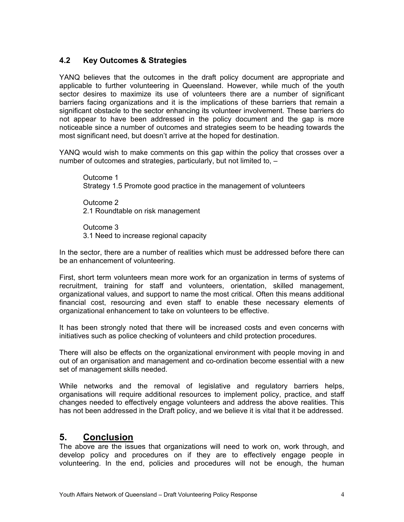### **4.2 Key Outcomes & Strategies**

YANQ believes that the outcomes in the draft policy document are appropriate and applicable to further volunteering in Queensland. However, while much of the youth sector desires to maximize its use of volunteers there are a number of significant barriers facing organizations and it is the implications of these barriers that remain a significant obstacle to the sector enhancing its volunteer involvement. These barriers do not appear to have been addressed in the policy document and the gap is more noticeable since a number of outcomes and strategies seem to be heading towards the most significant need, but doesn't arrive at the hoped for destination.

YANQ would wish to make comments on this gap within the policy that crosses over a number of outcomes and strategies, particularly, but not limited to, –

Outcome 1 Strategy 1.5 Promote good practice in the management of volunteers

Outcome 2 2.1 Roundtable on risk management

Outcome 3 3.1 Need to increase regional capacity

In the sector, there are a number of realities which must be addressed before there can be an enhancement of volunteering.

First, short term volunteers mean more work for an organization in terms of systems of recruitment, training for staff and volunteers, orientation, skilled management, organizational values, and support to name the most critical. Often this means additional financial cost, resourcing and even staff to enable these necessary elements of organizational enhancement to take on volunteers to be effective.

It has been strongly noted that there will be increased costs and even concerns with initiatives such as police checking of volunteers and child protection procedures.

There will also be effects on the organizational environment with people moving in and out of an organisation and management and co-ordination become essential with a new set of management skills needed.

While networks and the removal of legislative and regulatory barriers helps, organisations will require additional resources to implement policy, practice, and staff changes needed to effectively engage volunteers and address the above realities. This has not been addressed in the Draft policy, and we believe it is vital that it be addressed.

### **5. Conclusion**

The above are the issues that organizations will need to work on, work through, and develop policy and procedures on if they are to effectively engage people in volunteering. In the end, policies and procedures will not be enough, the human